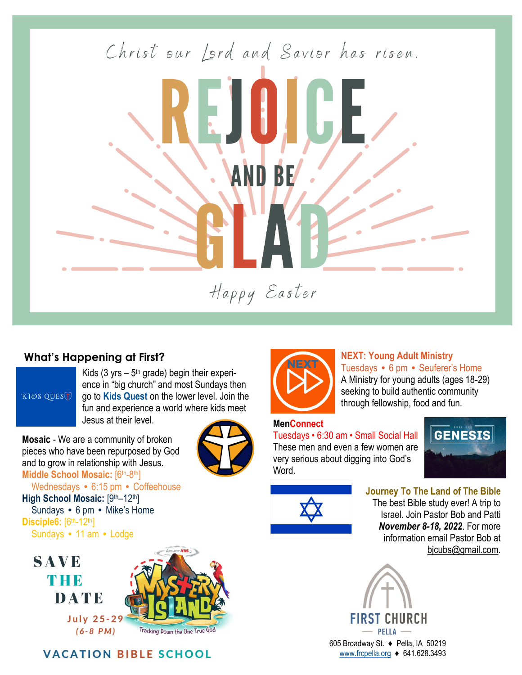Christ our Lord and Savior has risen. BE Happy Easter

## **What's Happening at First?**

KIDS QUEST

Kids (3 yrs –  $5<sup>th</sup>$  grade) begin their experience in "big church" and most Sundays then go to **Kids Quest** on the lower level. Join the fun and experience a world where kids meet Jesus at their level.

**Mosaic** - We are a community of broken pieces who have been repurposed by God and to grow in relationship with Jesus. **Middle School Mosaic:** [6th-8th]



 Wednesdays **•** 6:15 pm **•** Coffeehouse High School Mosaic: [9th–12th] Sundays **•** 6 pm **•** Mike's Home **Disciple6:**  $[6th-12th]$ Sundays **•** 11 am **•** Lodge



**VACATION BIBLE SCHOOL** 



# **NEXT: Young Adult Ministry**

Tuesdays **•** 6 pm **•** Seuferer's Home A Ministry for young adults (ages 18-29) seeking to build authentic community through fellowship, food and fun.

### **MenConnect**

Tuesdays • 6:30 am • Small Social Hall These men and even a few women are very serious about digging into God's Word.



bjcubs@gmail.com.

**Journey To The Land of The Bible** The best Bible study ever! A trip to Israel. Join Pastor Bob and Patti *November 8-18, 2022*. For more

information email Pastor Bob at

URCH - PELLA 605 Broadway St. ♦ Pella, IA 50219 [www.frcpella.org](http://www.frcpella.org) ♦ 641.628.3493